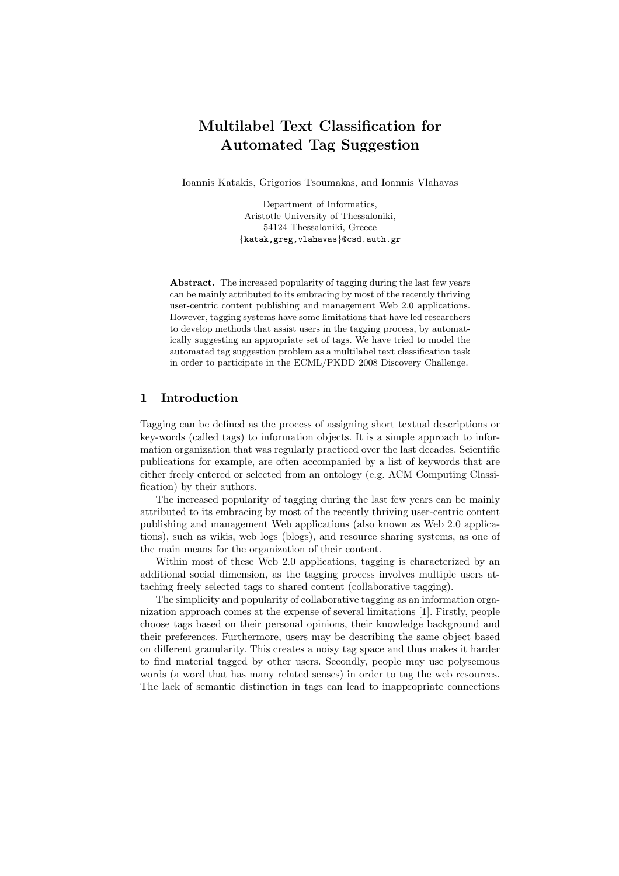# Multilabel Text Classification for Automated Tag Suggestion

Ioannis Katakis, Grigorios Tsoumakas, and Ioannis Vlahavas

Department of Informatics, Aristotle University of Thessaloniki, 54124 Thessaloniki, Greece {katak,greg,vlahavas}@csd.auth.gr

Abstract. The increased popularity of tagging during the last few years can be mainly attributed to its embracing by most of the recently thriving user-centric content publishing and management Web 2.0 applications. However, tagging systems have some limitations that have led researchers to develop methods that assist users in the tagging process, by automatically suggesting an appropriate set of tags. We have tried to model the automated tag suggestion problem as a multilabel text classification task in order to participate in the ECML/PKDD 2008 Discovery Challenge.

#### 1 Introduction

Tagging can be defined as the process of assigning short textual descriptions or key-words (called tags) to information objects. It is a simple approach to information organization that was regularly practiced over the last decades. Scientific publications for example, are often accompanied by a list of keywords that are either freely entered or selected from an ontology (e.g. ACM Computing Classification) by their authors.

The increased popularity of tagging during the last few years can be mainly attributed to its embracing by most of the recently thriving user-centric content publishing and management Web applications (also known as Web 2.0 applications), such as wikis, web logs (blogs), and resource sharing systems, as one of the main means for the organization of their content.

Within most of these Web 2.0 applications, tagging is characterized by an additional social dimension, as the tagging process involves multiple users attaching freely selected tags to shared content (collaborative tagging).

The simplicity and popularity of collaborative tagging as an information organization approach comes at the expense of several limitations [1]. Firstly, people choose tags based on their personal opinions, their knowledge background and their preferences. Furthermore, users may be describing the same object based on different granularity. This creates a noisy tag space and thus makes it harder to find material tagged by other users. Secondly, people may use polysemous words (a word that has many related senses) in order to tag the web resources. The lack of semantic distinction in tags can lead to inappropriate connections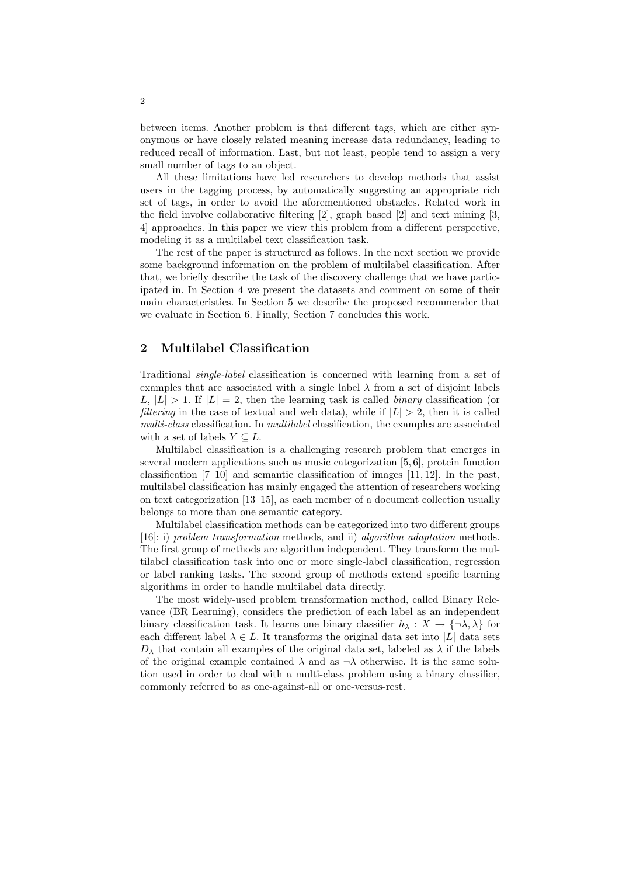between items. Another problem is that different tags, which are either synonymous or have closely related meaning increase data redundancy, leading to reduced recall of information. Last, but not least, people tend to assign a very small number of tags to an object.

All these limitations have led researchers to develop methods that assist users in the tagging process, by automatically suggesting an appropriate rich set of tags, in order to avoid the aforementioned obstacles. Related work in the field involve collaborative filtering [2], graph based [2] and text mining [3, 4] approaches. In this paper we view this problem from a different perspective, modeling it as a multilabel text classification task.

The rest of the paper is structured as follows. In the next section we provide some background information on the problem of multilabel classification. After that, we briefly describe the task of the discovery challenge that we have participated in. In Section 4 we present the datasets and comment on some of their main characteristics. In Section 5 we describe the proposed recommender that we evaluate in Section 6. Finally, Section 7 concludes this work.

# 2 Multilabel Classification

Traditional single-label classification is concerned with learning from a set of examples that are associated with a single label  $\lambda$  from a set of disjoint labels  $L, |L| > 1$ . If  $|L| = 2$ , then the learning task is called *binary* classification (or *filtering* in the case of textual and web data), while if  $|L| > 2$ , then it is called multi-class classification. In multilabel classification, the examples are associated with a set of labels  $Y \subseteq L$ .

Multilabel classification is a challenging research problem that emerges in several modern applications such as music categorization [5, 6], protein function classification  $[7-10]$  and semantic classification of images  $[11, 12]$ . In the past, multilabel classification has mainly engaged the attention of researchers working on text categorization [13–15], as each member of a document collection usually belongs to more than one semantic category.

Multilabel classification methods can be categorized into two different groups [16]: i) problem transformation methods, and ii) algorithm adaptation methods. The first group of methods are algorithm independent. They transform the multilabel classification task into one or more single-label classification, regression or label ranking tasks. The second group of methods extend specific learning algorithms in order to handle multilabel data directly.

The most widely-used problem transformation method, called Binary Relevance (BR Learning), considers the prediction of each label as an independent binary classification task. It learns one binary classifier  $h_{\lambda}: X \to {\{\neg \lambda, \lambda\}}$  for each different label  $\lambda \in L$ . It transforms the original data set into |L| data sets  $D_{\lambda}$  that contain all examples of the original data set, labeled as  $\lambda$  if the labels of the original example contained  $\lambda$  and as  $\neg \lambda$  otherwise. It is the same solution used in order to deal with a multi-class problem using a binary classifier, commonly referred to as one-against-all or one-versus-rest.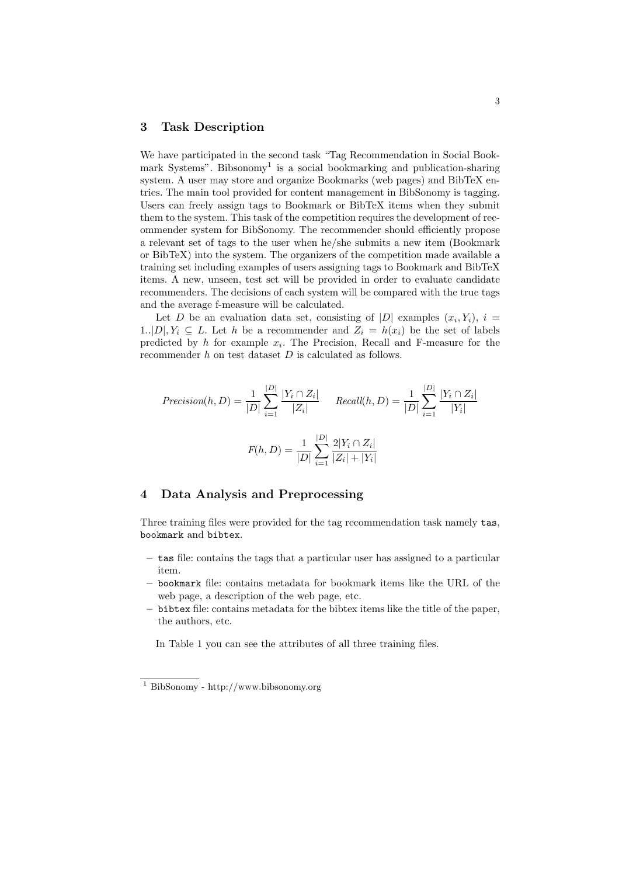#### 3 Task Description

We have participated in the second task "Tag Recommendation in Social Bookmark Systems". Bibsonomy<sup>1</sup> is a social bookmarking and publication-sharing system. A user may store and organize Bookmarks (web pages) and BibTeX entries. The main tool provided for content management in BibSonomy is tagging. Users can freely assign tags to Bookmark or BibTeX items when they submit them to the system. This task of the competition requires the development of recommender system for BibSonomy. The recommender should efficiently propose a relevant set of tags to the user when he/she submits a new item (Bookmark or BibTeX) into the system. The organizers of the competition made available a training set including examples of users assigning tags to Bookmark and BibTeX items. A new, unseen, test set will be provided in order to evaluate candidate recommenders. The decisions of each system will be compared with the true tags and the average f-measure will be calculated.

Let D be an evaluation data set, consisting of  $|D|$  examples  $(x_i, Y_i)$ ,  $i =$  $1..|D|, Y_i \subseteq L$ . Let h be a recommender and  $Z_i = h(x_i)$  be the set of labels predicted by  $h$  for example  $x_i$ . The Precision, Recall and F-measure for the recommender  $h$  on test dataset  $D$  is calculated as follows.

$$
Precision(h, D) = \frac{1}{|D|} \sum_{i=1}^{|D|} \frac{|Y_i \cap Z_i|}{|Z_i|} \qquad Recall(h, D) = \frac{1}{|D|} \sum_{i=1}^{|D|} \frac{|Y_i \cap Z_i|}{|Y_i|}
$$

$$
F(h, D) = \frac{1}{|D|} \sum_{i=1}^{|D|} \frac{2|Y_i \cap Z_i|}{|Z_i| + |Y_i|}
$$

# 4 Data Analysis and Preprocessing

Three training files were provided for the tag recommendation task namely tas, bookmark and bibtex.

- tas file: contains the tags that a particular user has assigned to a particular item.
- bookmark file: contains metadata for bookmark items like the URL of the web page, a description of the web page, etc.
- bibtex file: contains metadata for the bibtex items like the title of the paper, the authors, etc.

In Table 1 you can see the attributes of all three training files.

<sup>1</sup> BibSonomy - http://www.bibsonomy.org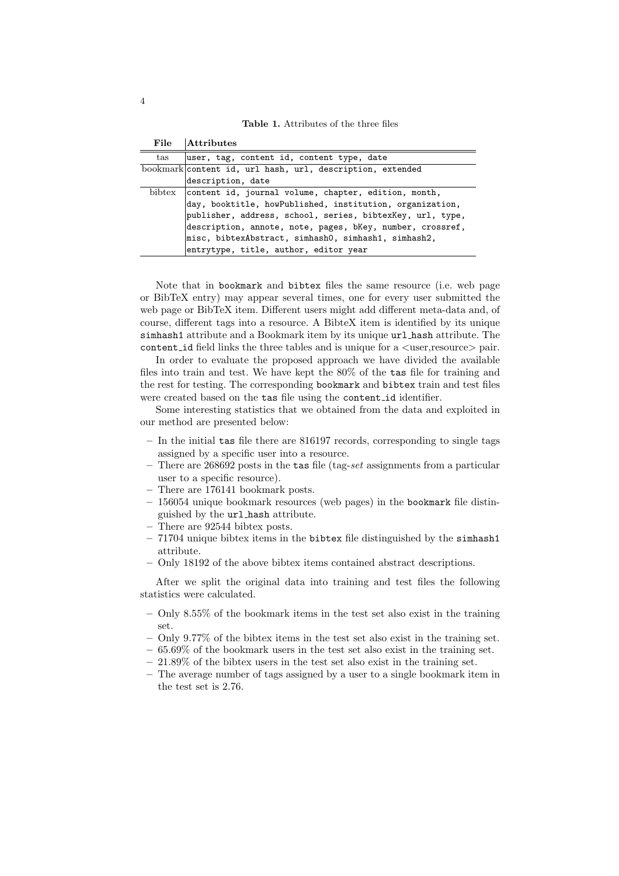Table 1. Attributes of the three files

| File                 | <b>Attributes</b>                                                           |  |  |  |  |  |  |
|----------------------|-----------------------------------------------------------------------------|--|--|--|--|--|--|
| $\operatorname{tas}$ | user, tag, content id, content type, date                                   |  |  |  |  |  |  |
|                      | bookmark content id, url hash, url, description, extended                   |  |  |  |  |  |  |
|                      | description, date                                                           |  |  |  |  |  |  |
|                      | bibtex content id, journal volume, chapter, edition, month,                 |  |  |  |  |  |  |
|                      | $\vert$ day, booktitle, how $\text{Published}$ , institution, organization, |  |  |  |  |  |  |
|                      | publisher, address, school, series, bibtexKey, url, type,                   |  |  |  |  |  |  |
|                      | description, annote, note, pages, bKey, number, crossref,                   |  |  |  |  |  |  |
|                      | misc, bibtexAbstract, simhash0, simhash1, simhash2,                         |  |  |  |  |  |  |
|                      | entrytype, title, author, editor year                                       |  |  |  |  |  |  |

Note that in bookmark and bibtex files the same resource (i.e. web page or BibTeX entry) may appear several times, one for every user submitted the web page or BibTeX item. Different users might add different meta-data and, of course, different tags into a resource. A BibteX item is identified by its unique simhash1 attribute and a Bookmark item by its unique url hash attribute. The content id field links the three tables and is unique for a  $\langle$ user,resource $\rangle$  pair.

In order to evaluate the proposed approach we have divided the available files into train and test. We have kept the 80% of the tas file for training and the rest for testing. The corresponding bookmark and bibtex train and test files were created based on the tas file using the content id identifier.

Some interesting statistics that we obtained from the data and exploited in our method are presented below:

- In the initial tas file there are 816197 records, corresponding to single tags assigned by a specific user into a resource.
- There are 268692 posts in the tas file (tag-set assignments from a particular user to a specific resource).
- There are 176141 bookmark posts.
- 156054 unique bookmark resources (web pages) in the bookmark file distinguished by the url hash attribute.
- There are 92544 bibtex posts.
- 71704 unique bibtex items in the bibtex file distinguished by the simhash1 attribute.
- Only 18192 of the above bibtex items contained abstract descriptions.

After we split the original data into training and test files the following statistics were calculated.

- Only 8.55% of the bookmark items in the test set also exist in the training set.
- Only 9.77% of the bibtex items in the test set also exist in the training set.
- 65.69% of the bookmark users in the test set also exist in the training set.
- 21.89% of the bibtex users in the test set also exist in the training set.
- The average number of tags assigned by a user to a single bookmark item in the test set is 2.76.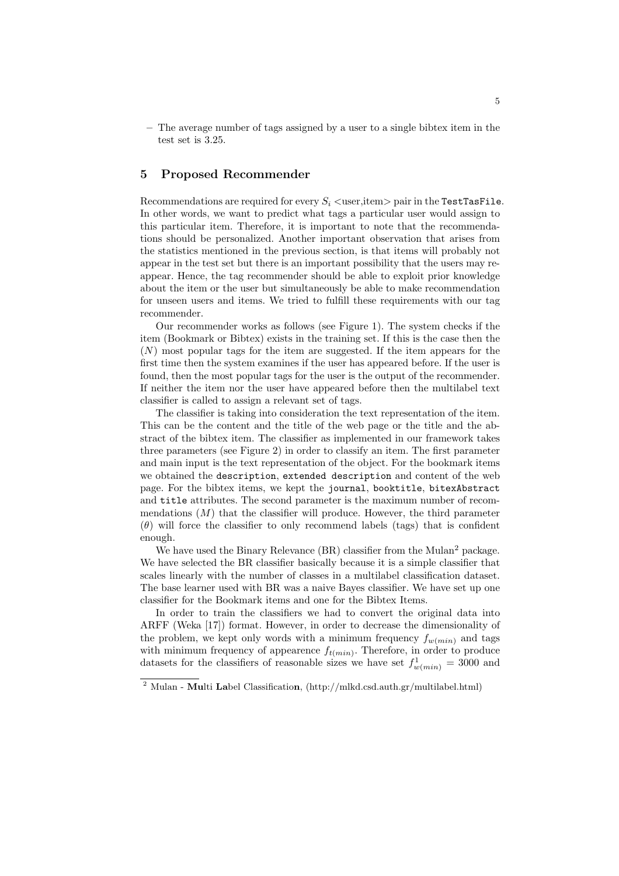– The average number of tags assigned by a user to a single bibtex item in the test set is 3.25.

## 5 Proposed Recommender

Recommendations are required for every  $S_i$  <user, item > pair in the TestTasFile. In other words, we want to predict what tags a particular user would assign to this particular item. Therefore, it is important to note that the recommendations should be personalized. Another important observation that arises from the statistics mentioned in the previous section, is that items will probably not appear in the test set but there is an important possibility that the users may reappear. Hence, the tag recommender should be able to exploit prior knowledge about the item or the user but simultaneously be able to make recommendation for unseen users and items. We tried to fulfill these requirements with our tag recommender.

Our recommender works as follows (see Figure 1). The system checks if the item (Bookmark or Bibtex) exists in the training set. If this is the case then the  $(N)$  most popular tags for the item are suggested. If the item appears for the first time then the system examines if the user has appeared before. If the user is found, then the most popular tags for the user is the output of the recommender. If neither the item nor the user have appeared before then the multilabel text classifier is called to assign a relevant set of tags.

The classifier is taking into consideration the text representation of the item. This can be the content and the title of the web page or the title and the abstract of the bibtex item. The classifier as implemented in our framework takes three parameters (see Figure 2) in order to classify an item. The first parameter and main input is the text representation of the object. For the bookmark items we obtained the description, extended description and content of the web page. For the bibtex items, we kept the journal, booktitle, bitexAbstract and title attributes. The second parameter is the maximum number of recommendations  $(M)$  that the classifier will produce. However, the third parameter  $(\theta)$  will force the classifier to only recommend labels (tags) that is confident enough.

We have used the Binary Relevance (BR) classifier from the Mulan<sup>2</sup> package. We have selected the BR classifier basically because it is a simple classifier that scales linearly with the number of classes in a multilabel classification dataset. The base learner used with BR was a naive Bayes classifier. We have set up one classifier for the Bookmark items and one for the Bibtex Items.

In order to train the classifiers we had to convert the original data into ARFF (Weka [17]) format. However, in order to decrease the dimensionality of the problem, we kept only words with a minimum frequency  $f_{w(min)}$  and tags with minimum frequency of appearence  $f_{t(min)}$ . Therefore, in order to produce datasets for the classifiers of reasonable sizes we have set  $f_{w(min)}^1 = 3000$  and

 $\sqrt{2}$  Mulan - Multi Label Classification, (http://mlkd.csd.auth.gr/multilabel.html)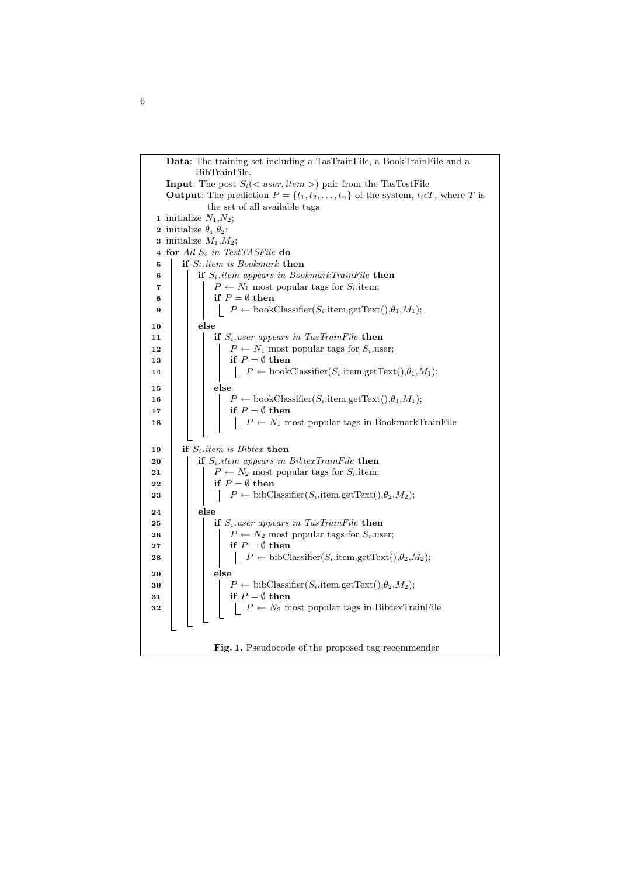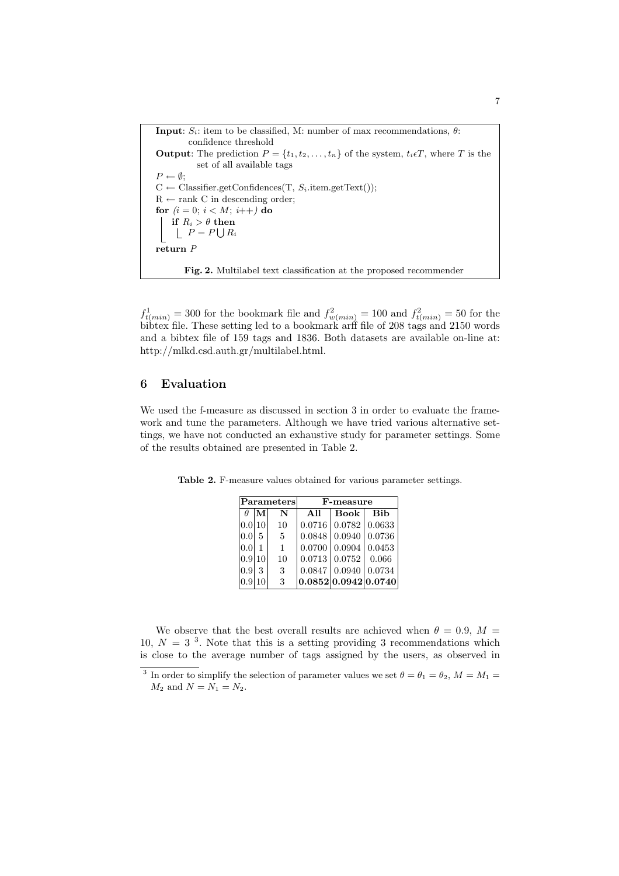**Input:**  $S_i$ : item to be classified, M: number of max recommendations,  $\theta$ : confidence threshold **Output:** The prediction  $P = \{t_1, t_2, \ldots, t_n\}$  of the system,  $t_i \in T$ , where T is the set of all available tags  $P \leftarrow \emptyset$ ;  $C \leftarrow$  Classifier.getConfidences(T,  $S_i$ .item.getText());  $R \leftarrow$  rank C in descending order; for  $(i = 0; i < M; i++)$  do if  $R_i > \theta$  then  $P = P \bigcup R_i$ return P Fig. 2. Multilabel text classification at the proposed recommender

 $f_{t(min)}^1 = 300$  for the bookmark file and  $f_{w(min)}^2 = 100$  and  $f_{t(min)}^2 = 50$  for the bibtex file. These setting led to a bookmark arff file of 208 tags and 2150 words and a bibtex file of 159 tags and 1836. Both datasets are available on-line at: http://mlkd.csd.auth.gr/multilabel.html.

# 6 Evaluation

We used the f-measure as discussed in section 3 in order to evaluate the framework and tune the parameters. Although we have tried various alternative settings, we have not conducted an exhaustive study for parameter settings. Some of the results obtained are presented in Table 2.

Table 2. F-measure values obtained for various parameter settings.

| $\rm {Parameters}$ |    |                | <b>F-measure</b> |                      |            |
|--------------------|----|----------------|------------------|----------------------|------------|
| $\theta$           | M  | N              | All              | <b>Book</b>          | <b>Bib</b> |
| 0.0 10             |    | 10             | 0.0716           | 0.0782               | 0.0633     |
| 0.0                | 5. | -5             | 0.0848           | 0.0940               | 0.0736     |
| 0.0                | 1  | $\overline{1}$ | 0.0700           | 0.0904               | 0.0453     |
| 0.9 10             |    | 10             |                  | 0.0713   0.0752      | 0.066      |
| 0.9                | 3  | -3             |                  | $0.0847 \mid 0.0940$ | 0.0734     |
| 0.9 <sup>°</sup>   | 10 | -3             |                  | 0.0852 0.0942 0.0740 |            |

We observe that the best overall results are achieved when  $\theta = 0.9$ ,  $M =$ 10,  $N = 3<sup>3</sup>$ . Note that this is a setting providing 3 recommendations which is close to the average number of tags assigned by the users, as observed in

<sup>&</sup>lt;sup>3</sup> In order to simplify the selection of parameter values we set  $\theta = \theta_1 = \theta_2$ ,  $M = M_1$  $M_2$  and  $N = N_1 = N_2$ .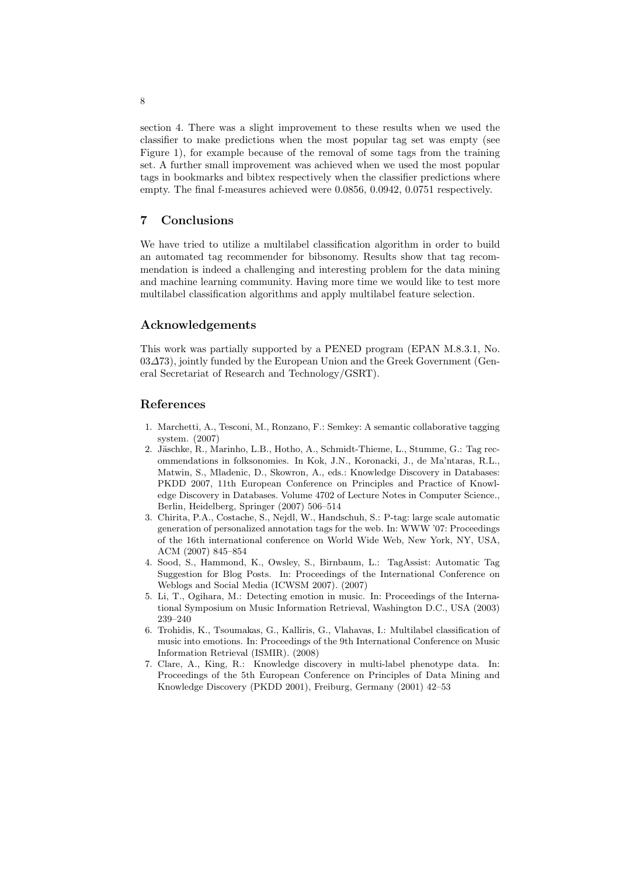section 4. There was a slight improvement to these results when we used the classifier to make predictions when the most popular tag set was empty (see Figure 1), for example because of the removal of some tags from the training set. A further small improvement was achieved when we used the most popular tags in bookmarks and bibtex respectively when the classifier predictions where empty. The final f-measures achieved were 0.0856, 0.0942, 0.0751 respectively.

### 7 Conclusions

We have tried to utilize a multilabel classification algorithm in order to build an automated tag recommender for bibsonomy. Results show that tag recommendation is indeed a challenging and interesting problem for the data mining and machine learning community. Having more time we would like to test more multilabel classification algorithms and apply multilabel feature selection.

#### Acknowledgements

This work was partially supported by a PENED program (EPAN M.8.3.1, No.  $03\Delta 73$ ), jointly funded by the European Union and the Greek Government (General Secretariat of Research and Technology/GSRT).

#### References

- 1. Marchetti, A., Tesconi, M., Ronzano, F.: Semkey: A semantic collaborative tagging system. (2007)
- 2. Jäschke, R., Marinho, L.B., Hotho, A., Schmidt-Thieme, L., Stumme, G.: Tag recommendations in folksonomies. In Kok, J.N., Koronacki, J., de Ma'ntaras, R.L., Matwin, S., Mladenic, D., Skowron, A., eds.: Knowledge Discovery in Databases: PKDD 2007, 11th European Conference on Principles and Practice of Knowledge Discovery in Databases. Volume 4702 of Lecture Notes in Computer Science., Berlin, Heidelberg, Springer (2007) 506–514
- 3. Chirita, P.A., Costache, S., Nejdl, W., Handschuh, S.: P-tag: large scale automatic generation of personalized annotation tags for the web. In: WWW '07: Proceedings of the 16th international conference on World Wide Web, New York, NY, USA, ACM (2007) 845–854
- 4. Sood, S., Hammond, K., Owsley, S., Birnbaum, L.: TagAssist: Automatic Tag Suggestion for Blog Posts. In: Proceedings of the International Conference on Weblogs and Social Media (ICWSM 2007). (2007)
- 5. Li, T., Ogihara, M.: Detecting emotion in music. In: Proceedings of the International Symposium on Music Information Retrieval, Washington D.C., USA (2003) 239–240
- 6. Trohidis, K., Tsoumakas, G., Kalliris, G., Vlahavas, I.: Multilabel classification of music into emotions. In: Proceedings of the 9th International Conference on Music Information Retrieval (ISMIR). (2008)
- 7. Clare, A., King, R.: Knowledge discovery in multi-label phenotype data. In: Proceedings of the 5th European Conference on Principles of Data Mining and Knowledge Discovery (PKDD 2001), Freiburg, Germany (2001) 42–53